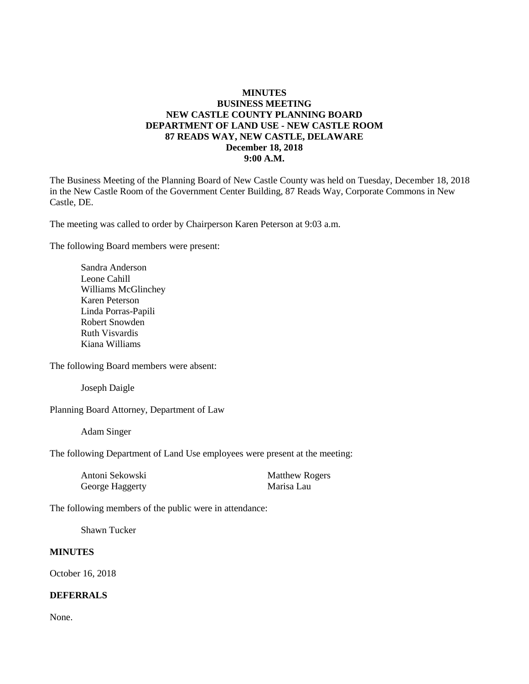### **MINUTES BUSINESS MEETING NEW CASTLE COUNTY PLANNING BOARD DEPARTMENT OF LAND USE - NEW CASTLE ROOM 87 READS WAY, NEW CASTLE, DELAWARE December 18, 2018 9:00 A.M.**

The Business Meeting of the Planning Board of New Castle County was held on Tuesday, December 18, 2018 in the New Castle Room of the Government Center Building, 87 Reads Way, Corporate Commons in New Castle, DE.

The meeting was called to order by Chairperson Karen Peterson at 9:03 a.m.

The following Board members were present:

Sandra Anderson Leone Cahill Williams McGlinchey Karen Peterson Linda Porras-Papili Robert Snowden Ruth Visvardis Kiana Williams

The following Board members were absent:

Joseph Daigle

Planning Board Attorney, Department of Law

Adam Singer

The following Department of Land Use employees were present at the meeting:

| Antoni Sekowski | <b>Matthew Rogers</b> |
|-----------------|-----------------------|
| George Haggerty | Marisa Lau            |

The following members of the public were in attendance:

Shawn Tucker

#### **MINUTES**

October 16, 2018

#### **DEFERRALS**

None.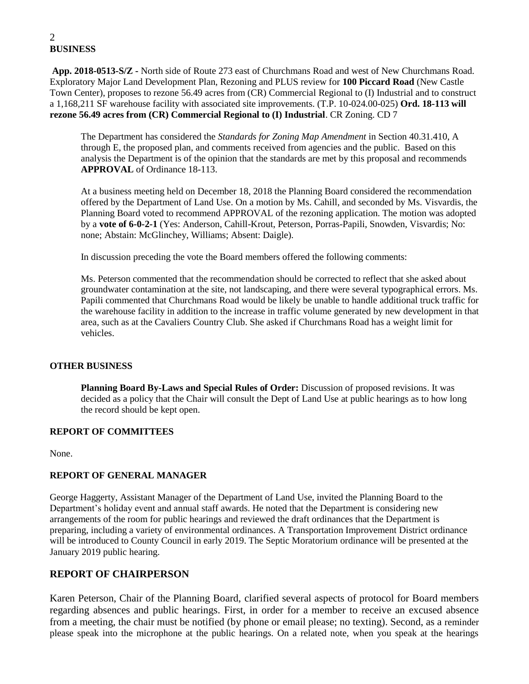## 2 **BUSINESS**

**App. 2018-0513-S/Z -** North side of Route 273 east of Churchmans Road and west of New Churchmans Road. Exploratory Major Land Development Plan, Rezoning and PLUS review for **100 Piccard Road** (New Castle Town Center), proposes to rezone 56.49 acres from (CR) Commercial Regional to (I) Industrial and to construct a 1,168,211 SF warehouse facility with associated site improvements. (T.P. 10-024.00-025) **Ord. 18-113 will rezone 56.49 acres from (CR) Commercial Regional to (I) Industrial**. CR Zoning. CD 7

The Department has considered the *Standards for Zoning Map Amendment* in Section 40.31.410, A through E, the proposed plan, and comments received from agencies and the public. Based on this analysis the Department is of the opinion that the standards are met by this proposal and recommends **APPROVAL** of Ordinance 18-113.

At a business meeting held on December 18, 2018 the Planning Board considered the recommendation offered by the Department of Land Use. On a motion by Ms. Cahill, and seconded by Ms. Visvardis, the Planning Board voted to recommend APPROVAL of the rezoning application. The motion was adopted by a **vote of 6-0-2-1** (Yes: Anderson, Cahill-Krout, Peterson, Porras-Papili, Snowden, Visvardis; No: none; Abstain: McGlinchey, Williams; Absent: Daigle).

In discussion preceding the vote the Board members offered the following comments:

Ms. Peterson commented that the recommendation should be corrected to reflect that she asked about groundwater contamination at the site, not landscaping, and there were several typographical errors. Ms. Papili commented that Churchmans Road would be likely be unable to handle additional truck traffic for the warehouse facility in addition to the increase in traffic volume generated by new development in that area, such as at the Cavaliers Country Club. She asked if Churchmans Road has a weight limit for vehicles.

#### **OTHER BUSINESS**

**Planning Board By-Laws and Special Rules of Order:** Discussion of proposed revisions. It was decided as a policy that the Chair will consult the Dept of Land Use at public hearings as to how long the record should be kept open.

#### **REPORT OF COMMITTEES**

None.

# **REPORT OF GENERAL MANAGER**

George Haggerty, Assistant Manager of the Department of Land Use, invited the Planning Board to the Department's holiday event and annual staff awards. He noted that the Department is considering new arrangements of the room for public hearings and reviewed the draft ordinances that the Department is preparing, including a variety of environmental ordinances. A Transportation Improvement District ordinance will be introduced to County Council in early 2019. The Septic Moratorium ordinance will be presented at the January 2019 public hearing.

# **REPORT OF CHAIRPERSON**

Karen Peterson, Chair of the Planning Board, clarified several aspects of protocol for Board members regarding absences and public hearings. First, in order for a member to receive an excused absence from a meeting, the chair must be notified (by phone or email please; no texting). Second, as a reminder please speak into the microphone at the public hearings. On a related note, when you speak at the hearings